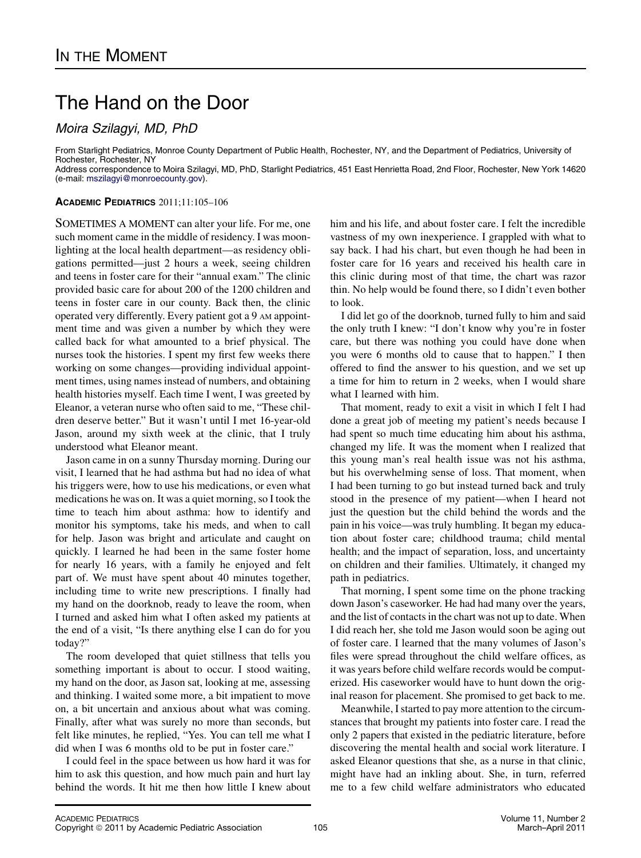## The Hand on the Door

 $M$ 

From Starlight Pediatrics, Monroe County Department of Public Health, Rochester, NY, and the Department of Pediatrics, University of Rochester, Rochester, NY Address correspondence to Moira Szilagyi, MD, PhD, Starlight Pediatrics, 451 East Henrietta Road, 2nd Floor, Rochester, New York 14620 (e-mail: [mszilagyi@monroecounty.gov\)](mailto:mszilagyi@monroecounty.gov).

## ACADEMIC PEDIATRICS 2011;11:105–106

SOMETIMES A MOMENT can alter your life. For me, one such moment came in the middle of residency. I was moonlighting at the local health department—as residency obligations permitted—just 2 hours a week, seeing children and teens in foster care for their "annual exam." The clinic provided basic care for about 200 of the 1200 children and teens in foster care in our county. Back then, the clinic operated very differently. Every patient got a 9 AM appointment time and was given a number by which they were called back for what amounted to a brief physical. The nurses took the histories. I spent my first few weeks there working on some changes—providing individual appointment times, using names instead of numbers, and obtaining health histories myself. Each time I went, I was greeted by Eleanor, a veteran nurse who often said to me, "These children deserve better." But it wasn't until I met 16-year-old Jason, around my sixth week at the clinic, that I truly understood what Eleanor meant.

Jason came in on a sunny Thursday morning. During our visit, I learned that he had asthma but had no idea of what his triggers were, how to use his medications, or even what medications he was on. It was a quiet morning, so I took the time to teach him about asthma: how to identify and monitor his symptoms, take his meds, and when to call for help. Jason was bright and articulate and caught on quickly. I learned he had been in the same foster home for nearly 16 years, with a family he enjoyed and felt part of. We must have spent about 40 minutes together, including time to write new prescriptions. I finally had my hand on the doorknob, ready to leave the room, when I turned and asked him what I often asked my patients at the end of a visit, "Is there anything else I can do for you today?"

The room developed that quiet stillness that tells you something important is about to occur. I stood waiting, my hand on the door, as Jason sat, looking at me, assessing and thinking. I waited some more, a bit impatient to move on, a bit uncertain and anxious about what was coming. Finally, after what was surely no more than seconds, but felt like minutes, he replied, "Yes. You can tell me what I did when I was 6 months old to be put in foster care."

I could feel in the space between us how hard it was for him to ask this question, and how much pain and hurt lay behind the words. It hit me then how little I knew about him and his life, and about foster care. I felt the incredible vastness of my own inexperience. I grappled with what to say back. I had his chart, but even though he had been in foster care for 16 years and received his health care in this clinic during most of that time, the chart was razor thin. No help would be found there, so I didn't even bother to look.

I did let go of the doorknob, turned fully to him and said the only truth I knew: "I don't know why you're in foster care, but there was nothing you could have done when you were 6 months old to cause that to happen." I then offered to find the answer to his question, and we set up a time for him to return in 2 weeks, when I would share what I learned with him.

That moment, ready to exit a visit in which I felt I had done a great job of meeting my patient's needs because I had spent so much time educating him about his asthma, changed my life. It was the moment when I realized that this young man's real health issue was not his asthma, but his overwhelming sense of loss. That moment, when I had been turning to go but instead turned back and truly stood in the presence of my patient—when I heard not just the question but the child behind the words and the pain in his voice—was truly humbling. It began my education about foster care; childhood trauma; child mental health; and the impact of separation, loss, and uncertainty on children and their families. Ultimately, it changed my path in pediatrics.

That morning, I spent some time on the phone tracking down Jason's caseworker. He had had many over the years, and the list of contacts in the chart was not up to date. When I did reach her, she told me Jason would soon be aging out of foster care. I learned that the many volumes of Jason's files were spread throughout the child welfare offices, as it was years before child welfare records would be computerized. His caseworker would have to hunt down the original reason for placement. She promised to get back to me.

Meanwhile, I started to pay more attention to the circumstances that brought my patients into foster care. I read the only 2 papers that existed in the pediatric literature, before discovering the mental health and social work literature. I asked Eleanor questions that she, as a nurse in that clinic, might have had an inkling about. She, in turn, referred me to a few child welfare administrators who educated